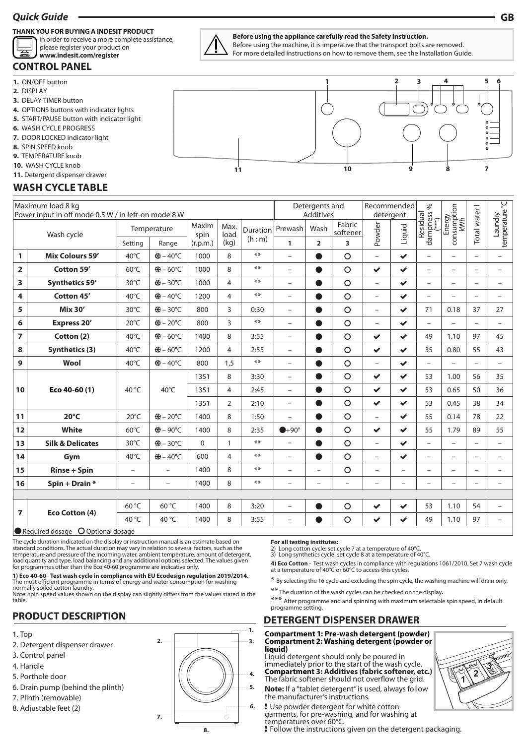## *Quick Guide* **GB**

#### **THANK YOU FOR BUYING A INDESIT PRODUCT**

In order to receive a more complete assistance, please register your product on

#### **CONTROL PANEL www.indesit.com/register**

**1.** ON/OFF button

- **2.** DISPLAY
- **3.** DELAY TIMER button
- **4.** OPTIONS buttons with indicator lights
- **5.** START/PAUSE button with indicator light
- **6.** WASH CYCLE PROGRESS
- **7.** DOOR LOCKED indicator light
- **8.** SPIN SPEED knob
- **9.** TEMPERATURE knob
- 10. WASH CYCLE knob
- **11.** Detergent dispenser drawer

## **WASH CYCLE TABLE**

| Maximum load 8 kg<br>Power input in off mode 0.5 W / in left-on mode 8 W |                             |                          |                          |               |                |                     |                          | Detergents and<br><b>Additives</b> |                          |                          | Recommended<br>detergent |                                            |                              |                          | P                         |
|--------------------------------------------------------------------------|-----------------------------|--------------------------|--------------------------|---------------|----------------|---------------------|--------------------------|------------------------------------|--------------------------|--------------------------|--------------------------|--------------------------------------------|------------------------------|--------------------------|---------------------------|
| Wash cycle                                                               |                             | Temperature              |                          | Maxim<br>spin | Max.<br>load   | Duration<br>(h : m) | Prewash                  | Wash                               | Fabric<br>softener       | Powder                   | Liquid                   | dampness <sup>9</sup><br>(***)<br>Residual | Energy<br>consumption<br>kWh | Total water I            | emperature<br>temperature |
|                                                                          |                             | Setting                  | Range                    | (r.p.m.)      | (kg)           |                     | $\mathbf{1}$             | $\overline{2}$                     | 3                        |                          |                          |                                            |                              |                          |                           |
| 1                                                                        | <b>Mix Colours 59'</b>      | 40°C                     | <b>※-40℃</b>             | 1000          | 8              | $***$               | $\overline{\phantom{0}}$ | ●                                  | $\circ$                  | $\qquad \qquad -$        | $\checkmark$             | $\overline{\phantom{0}}$                   | $\overline{\phantom{0}}$     | $\qquad \qquad -$        | -                         |
| 2                                                                        | Cotton 59'                  | $60^{\circ}$ C           | <b>₩-60°C</b>            | 1000          | 8              | $***$               | $\overline{\phantom{0}}$ | $\bullet$                          | $\circ$                  | $\checkmark$             | $\checkmark$             | $\overline{\phantom{0}}$                   | $\overline{\phantom{0}}$     | $\overline{\phantom{m}}$ | $\overline{\phantom{0}}$  |
| 3                                                                        | Synthetics 59'              | 30°C                     | <b>※+-30°C</b>           | 1000          | $\overline{4}$ | $***$               | $\overline{\phantom{0}}$ |                                    | $\circ$                  | $\overline{\phantom{0}}$ | $\checkmark$             | $\overline{\phantom{0}}$                   | $\overline{\phantom{0}}$     | $\overline{\phantom{0}}$ | $\overline{\phantom{0}}$  |
| 4                                                                        | Cotton 45'                  | 40°C                     | ※÷-40°C                  | 1200          | 4              | $***$               | $\overline{\phantom{0}}$ | ●                                  | $\circ$                  | $\overline{\phantom{0}}$ | $\checkmark$             | $\overline{\phantom{0}}$                   | $\overline{\phantom{0}}$     | $\overline{\phantom{0}}$ | $\overline{\phantom{0}}$  |
| 5                                                                        | <b>Mix 30'</b>              | 30°C                     | <b>※8-30℃</b>            | 800           | 3              | 0:30                | $\overline{\phantom{m}}$ |                                    | $\circ$                  | $\overline{\phantom{0}}$ | $\checkmark$             | 71                                         | 0.18                         | 37                       | 27                        |
| 6                                                                        | <b>Express 20'</b>          | $20^{\circ}$ C           | ※÷-20°C                  | 800           | 3              | $***$               | $\overline{\phantom{m}}$ | ●                                  | $\circ$                  | $\qquad \qquad -$        | $\checkmark$             | $\overline{\phantom{0}}$                   | $\overline{\phantom{0}}$     | $\overline{\phantom{m}}$ | $\qquad \qquad -$         |
| $\overline{z}$                                                           | Cotton (2)                  | 40°C                     | ※÷-60°C                  | 1400          | 8              | 3:55                | $\overline{\phantom{m}}$ | ●                                  | $\circ$                  | $\checkmark$             | $\checkmark$             | 49                                         | 1.10                         | 97                       | 45                        |
| 8                                                                        | <b>Synthetics (3)</b>       | 40°C                     | <b>※8-60℃</b>            | 1200          | $\overline{4}$ | 2:55                | $\overline{\phantom{m}}$ | $\bullet$                          | O                        | $\checkmark$             | $\checkmark$             | 35                                         | 0.80                         | 55                       | 43                        |
| 9                                                                        | Wool                        | 40°C                     | <b>※-40℃</b>             | 800           | 1,5            | $***$               | $\overline{\phantom{0}}$ | $\bullet$                          | $\circ$                  | $\overline{\phantom{0}}$ | $\checkmark$             | $\overline{\phantom{0}}$                   | $\overline{\phantom{0}}$     | $\overline{\phantom{0}}$ | $\overline{\phantom{0}}$  |
| 10                                                                       | Eco 40-60 (1)               | 40 °C                    | 40°C                     | 1351          | 8              | 3:30                | $\overline{\phantom{m}}$ | $\bullet$                          | $\circ$                  | $\checkmark$             | $\checkmark$             | 53                                         | 1.00                         | 56                       | 35                        |
|                                                                          |                             |                          |                          | 1351          | 4              | 2:45                | $\overline{\phantom{0}}$ | $\bullet$                          | $\circ$                  | $\checkmark$             | $\checkmark$             | 53                                         | 0.65                         | 50                       | 36                        |
|                                                                          |                             |                          |                          | 1351          | $\overline{2}$ | 2:10                | $\overline{\phantom{a}}$ | $\bullet$                          | $\circ$                  | $\checkmark$             | $\checkmark$             | 53                                         | 0.45                         | 38                       | 34                        |
| 11                                                                       | $20^{\circ}$ C              | $20^{\circ}$ C           | <b>※-20℃</b>             | 1400          | 8              | 1:50                | $\overline{\phantom{0}}$ | $\bullet$                          | $\circ$                  | $\overline{\phantom{0}}$ | $\checkmark$             | 55                                         | 0.14                         | 78                       | 22                        |
| 12                                                                       | White                       | $60^{\circ}$ C           | <b>※-90℃</b>             | 1400          | 8              | 2:35                | $+90^\circ$              | $\bullet$                          | O                        | $\checkmark$             | $\checkmark$             | 55                                         | 1.79                         | 89                       | 55                        |
| 13                                                                       | <b>Silk &amp; Delicates</b> | 30°C                     | ※÷-30°C                  | $\Omega$      | $\mathbf{1}$   | $**$                | $\overline{\phantom{0}}$ | $\bullet$                          | $\circ$                  | $\overline{\phantom{0}}$ | $\checkmark$             | $\overline{\phantom{0}}$                   | $\overline{\phantom{0}}$     | $\overline{\phantom{0}}$ | $\overline{a}$            |
| 14                                                                       | Gym                         | 40°C                     | ※÷-40°C                  | 600           | $\overline{4}$ | $**$                | $\overline{\phantom{0}}$ | $\bullet$                          | $\circ$                  | $\overline{\phantom{0}}$ | $\checkmark$             | $\overline{\phantom{0}}$                   | $\overline{\phantom{0}}$     | $\overline{\phantom{0}}$ | $\overline{\phantom{0}}$  |
| 15                                                                       | <b>Rinse + Spin</b>         | $\overline{a}$           | $\overline{\phantom{0}}$ | 1400          | 8              | $***$               | $\overline{\phantom{0}}$ | $\overline{\phantom{0}}$           | $\circ$                  | $\overline{\phantom{0}}$ | $\overline{a}$           | $\overline{\phantom{0}}$                   | $\overline{a}$               | $\overline{\phantom{0}}$ | $\overline{\phantom{0}}$  |
| 16                                                                       | Spin + Drain *              | $\overline{\phantom{0}}$ | $\overline{\phantom{a}}$ | 1400          | 8              | $**$                | $\overline{\phantom{0}}$ | $\overline{\phantom{0}}$           | $\overline{\phantom{0}}$ | $\overline{\phantom{0}}$ | $\overline{\phantom{0}}$ | $\overline{\phantom{0}}$                   | $\overline{\phantom{0}}$     | $\overline{\phantom{a}}$ | $\overline{\phantom{0}}$  |
|                                                                          |                             |                          |                          |               |                |                     |                          |                                    |                          |                          |                          |                                            |                              |                          |                           |
| $\overline{ }$                                                           | Eco Cotton (4)              | 60 °C                    | $60^{\circ}$ C           | 1400          | 8              | 3:20                | $\overline{\phantom{0}}$ | $\bullet$                          | $\circ$                  | $\checkmark$             | $\checkmark$             | 53                                         | 1.10                         | 54                       |                           |
|                                                                          |                             | 40 °C                    | 40 °C                    | 1400          | 8              | 3:55                | $\overline{\phantom{0}}$ |                                    | $\circ$                  | $\checkmark$             | $\checkmark$             | 49                                         | 1.10                         | 97                       |                           |

#### Required dosage O Optional dosage

The cycle duration indicated on the display or instruction manual is an estimate based on standard conditions. The actual duration may vary in relation to several factors, such as the temperature and pressure of the incoming water, ambient temperature, amount of detergent,<br>load quantity and type, load balancing and any additional options selected. The values given<br>for programmes other than the Eco 40-60

**1) Eco 40-60** - **Test wash cycle in compliance with EU Ecodesign regulation 2019/2014.**  The most efficient programme in terms of energy and water consumption for washing normally soiled cotton laundry.

Note: spin speed values shown on the display can slightly differs from the values stated in the table.

## **PRODUCT DESCRIPTION**

- 1. Top
- 2. Detergent dispenser drawer
- 3. Control panel
- 4. Handle
- 5. Porthole door
- 6. Drain pump (behind the plinth)
- 7. Plinth (removable)
- 8. Adjustable feet (2)



**For all testing institutes:** 2) Long cotton cycle: set cycle 7 at a temperature of 40°C.

3) Long synthetics cycle: set cycle 8 at a temperature of 40°C.

**4) Eco Cotton** - Test wash cycles in compliance with regulations 1061/2010. Set 7 wash cycle at a temperature of 40°C or 60°C to access this cycles.

\* By selecting the 16 cycle and excluding the spin cycle, the washing machine will drain only.

\*\* The duration of the wash cycles can be checked on the display**.**

\*\*\* After programme end and spinning with maximum selectable spin speed, in default programme setting.

 $\sqrt{\frac{2}{1}}$ 

**3**

## **DETERGENT DISPENSER DRAWER**

#### **Compartment 1: Pre-wash detergent (powder) Compartment 2: Washing detergent (powder or liquid)**

Liquid detergent should only be poured in immediately prior to the start of the wash cycle. **Compartment 3: Additives (fabric softener, etc.)** The fabric softener should not overflow the grid.

**Note:** If a "tablet detergent" is used, always follow the manufacturer's instructions.

! Use powder detergent for white cotton garments, for pre-washing, and for washing at

temperatures over 60°C.

! Follow the instructions given on the detergent packaging.





**11**

## **1 10 6 9 7 5 8 2 3 4**

**Before using the appliance carefully read the Safety Instruction.**

Before using the machine, it is imperative that the transport bolts are removed. For more detailed instructions on how to remove them, see the Installation Guide.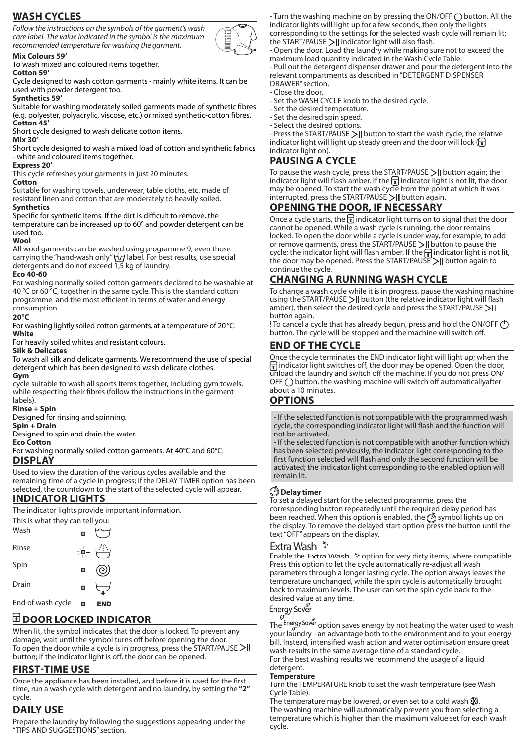## **WASH CYCLES**

*Follow the instructions on the symbols of the garment's wash care label. The value indicated in the symbol is the maximum recommended temperature for washing the garment.*



**Mix Colours 59'** To wash mixed and coloured items together.

#### **Cotton 59'**

Cycle designed to wash cotton garments - mainly white items. It can be used with powder detergent too.

#### **Synthetics 59'**

Suitable for washing moderately soiled garments made of synthetic fibres (e.g. polyester, polyacrylic, viscose, etc.) or mixed synthetic-cotton fibres. **Cotton 45'**

Short cycle designed to wash delicate cotton items.

#### **Mix 30'**

Short cycle designed to wash a mixed load of cotton and synthetic fabrics - white and coloured items together.

#### **Express 20'**

This cycle refreshes your garments in just 20 minutes.

## **Cotton**

Suitable for washing towels, underwear, table cloths, etc. made of resistant linen and cotton that are moderately to heavily soiled. **Synthetics**

#### Specific for synthetic items. If the dirt is difficult to remove, the temperature can be increased up to 60° and powder detergent can be used too.

#### **Wool**

All wool garments can be washed using programme 9, even those carrying the "hand-wash only" the label. For best results, use special detergents and do not exceed 1,5 kg of laundry.

#### **Eco 40-60**

For washing normally soiled cotton garments declared to be washable at 40 °C or 60 °C, together in the same cycle. This is the standard cotton programme and the most efficient in terms of water and energy consumption.

#### **20°C**

For washing lightly soiled cotton garments, at a temperature of 20 °C. **White**

For heavily soiled whites and resistant colours.

#### **Silk & Delicates**

To wash all silk and delicate garments. We recommend the use of special detergent which has been designed to wash delicate clothes. **Gym**

cycle suitable to wash all sports items together, including gym towels, while respecting their fibres (follow the instructions in the garment labels).

#### **Rinse + Spin**

Designed for rinsing and spinning.

#### **Spin + Drain**

Designed to spin and drain the water.

#### **Eco Cotton**

For washing normally soiled cotton garments. At 40°C and 60°C. **DISPLAY**

Used to view the duration of the various cycles available and the remaining time of a cycle in progress; if the DELAY TIMER option has been selected, the countdown to the start of the selected cycle will appear.

## **INDICATOR LIGHTS**

The indicator lights provide important information.



#### End of wash cycle o END

## **DOOR LOCKED INDICATOR**

When lit, the symbol indicates that the door is locked. To prevent any damage, wait until the symbol turns off before opening the door. To open the door while a cycle is in progress, press the START/PAUSE  $>11$ button; if the indicator light is off, the door can be opened.

## **FIRST-TIME USE**

Once the appliance has been installed, and before it is used for the first time, run a wash cycle with detergent and no laundry, by setting the **"2"**  cycle.

## **DAILY USE**

Prepare the laundry by following the suggestions appearing under the "TIPS AND SUGGESTIONS" section.

- Turn the washing machine on by pressing the ON/OFF (<sup>1</sup>) button. All the indicator lights will light up for a few seconds, then only the lights corresponding to the settings for the selected wash cycle will remain lit; the START/PAUSE  $\geq$  | indicator light will also flash.

- Open the door. Load the laundry while making sure not to exceed the maximum load quantity indicated in the Wash Cycle Table.

- Pull out the detergent dispenser drawer and pour the detergent into the relevant compartments as described in "DETERGENT DISPENSER DRAWER" section.

- Close the door.
- Set the WASH CYCLE knob to the desired cycle.
- Set the desired temperature.
- Set the desired spin speed.
- Select the desired options.

- Press the START/PAUSE  $\geq$  | button to start the wash cycle; the relative indicator light will light up steady green and the door will lock  $(\mathbf{r})$ indicator light on).

## **PAUSING A CYCLE**

To pause the wash cycle, press the START/PAUSE  $\geq$  | button again; the indicator light will flash amber. If the  $\mathbf{\overline{1}}$  indicator light is not lit, the door may be opened. To start the wash cycle from the point at which it was  $interrupted$ , press the START/PAUSE > | button again.

## **OPENING THE DOOR, IF NECESSARY**

Once a cycle starts, the  $\mathbf f$  indicator light turns on to signal that the door cannot be opened. While a wash cycle is running, the door remains locked. To open the door while a cycle is under way, for example, to add or remove garments, press the START/PAUSE >|| button to pause the cycle; the indicator light will flash amber. If the  $\frac{1}{\epsilon}$  indicator light is not lit, the door may be opened. Press the START/PAUSE  $\geq$  | button again to continue the cycle.

## **CHANGING A RUNNING WASH CYCLE**

To change a wash cycle while it is in progress, pause the washing machine using the START/PAUSE  $>$  | button (the relative indicator light will flash amber), then select the desired cycle and press the START/PAUSE >|| button again.

! To cancel a cycle that has already begun, press and hold the ON/OFF  $(1)$ button. The cycle will be stopped and the machine will switch off.

## **END OF THE CYCLE**

Once the cycle terminates the END indicator light will light up; when the  $\bigcap$  indicator light switches off, the door may be opened. Open the door, unload the laundry and switch off the machine. If you do not press ON/ OFF (<sup>I</sup>) button, the washing machine will switch off automaticallyafter about a 10 minutes.

## **OPTIONS**

- If the selected function is not compatible with the programmed wash cycle, the corresponding indicator light will flash and the function will not be activated.

- If the selected function is not compatible with another function which has been selected previously, the indicator light corresponding to the first function selected will flash and only the second function will be activated; the indicator light corresponding to the enabled option will remain lit.

## **Delay timer**

To set a delayed start for the selected programme, press the corresponding button repeatedly until the required delay period has been reached. When this option is enabled, the  $\tilde{\mathcal{O}}$  symbol lights up on the display. To remove the delayed start option press the button until the text "OFF" appears on the display.

## Extra Wash<sup>\*</sup>

Enable the Extra Wash  $\tilde{z}$  option for very dirty items, where compatible. Press this option to let the cycle automatically re-adjust all wash parameters through a longer lasting cycle. The option always leaves the temperature unchanged, while the spin cycle is automatically brought back to maximum levels. The user can set the spin cycle back to the desired value at any time.

## Energy Saver

The Energy Saver option saves energy by not heating the water used to wash your laundry - an advantage both to the environment and to your energy bill. Instead, intensified wash action and water optimisation ensure great wash results in the same average time of a standard cycle. For the best washing results we recommend the usage of a liquid detergent.

## **Temperature**

Turn the TEMPERATURE knob to set the wash temperature (see Wash Cycle Table).

The temperature may be lowered, or even set to a cold wash  $\frac{46}{36}$ . The washing machine will automatically prevent you from selecting a temperature which is higher than the maximum value set for each wash cycle.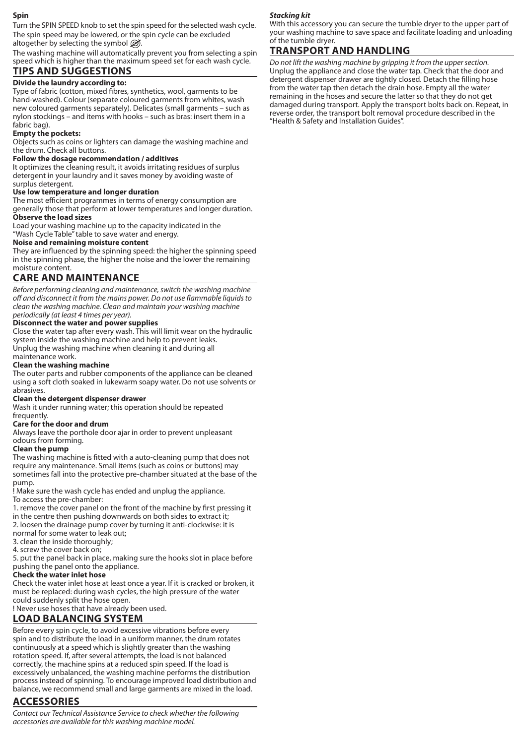#### **Spin**

Turn the SPIN SPEED knob to set the spin speed for the selected wash cycle. The spin speed may be lowered, or the spin cycle can be excluded altogether by selecting the symbol  $\mathcal{D}$ .

The washing machine will automatically prevent you from selecting a spin speed which is higher than the maximum speed set for each wash cycle. **TIPS AND SUGGESTIONS**

## **Divide the laundry according to:**

Type of fabric (cotton, mixed fibres, synthetics, wool, garments to be hand-washed). Colour (separate coloured garments from whites, wash new coloured garments separately). Delicates (small garments – such as nylon stockings – and items with hooks – such as bras: insert them in a fabric bag).

## **Empty the pockets:**

Objects such as coins or lighters can damage the washing machine and the drum. Check all buttons.

## **Follow the dosage recommendation / additives**

It optimizes the cleaning result, it avoids irritating residues of surplus detergent in your laundry and it saves money by avoiding waste of surplus detergent.

## **Use low temperature and longer duration**

The most efficient programmes in terms of energy consumption are generally those that perform at lower temperatures and longer duration. **Observe the load sizes**

Load your washing machine up to the capacity indicated in the "Wash Cycle Table" table to save water and energy.

#### **Noise and remaining moisture content**

They are influenced by the spinning speed: the higher the spinning speed in the spinning phase, the higher the noise and the lower the remaining moisture content.

## **CARE AND MAINTENANCE**

*Before performing cleaning and maintenance, switch the washing machine off and disconnect it from the mains power. Do not use flammable liquids to clean the washing machine. Clean and maintain your washing machine periodically (at least 4 times per year).*

## **Disconnect the water and power supplies**

Close the water tap after every wash. This will limit wear on the hydraulic system inside the washing machine and help to prevent leaks. Unplug the washing machine when cleaning it and during all

#### maintenance work. **Clean the washing machine**

The outer parts and rubber components of the appliance can be cleaned using a soft cloth soaked in lukewarm soapy water. Do not use solvents or abrasives.

#### **Clean the detergent dispenser drawer**

Wash it under running water; this operation should be repeated frequently.

## **Care for the door and drum**

Always leave the porthole door ajar in order to prevent unpleasant odours from forming.

#### **Clean the pump**

The washing machine is fitted with a auto-cleaning pump that does not require any maintenance. Small items (such as coins or buttons) may sometimes fall into the protective pre-chamber situated at the base of the pump.

! Make sure the wash cycle has ended and unplug the appliance. To access the pre-chamber:

1. remove the cover panel on the front of the machine by first pressing it in the centre then pushing downwards on both sides to extract it;

2. loosen the drainage pump cover by turning it anti-clockwise: it is

normal for some water to leak out; 3. clean the inside thoroughly;

4. screw the cover back on;

5. put the panel back in place, making sure the hooks slot in place before

pushing the panel onto the appliance.

## **Check the water inlet hose**

Check the water inlet hose at least once a year. If it is cracked or broken, it must be replaced: during wash cycles, the high pressure of the water could suddenly split the hose open.

! Never use hoses that have already been used.

# **LOAD BALANCING SYSTEM**

Before every spin cycle, to avoid excessive vibrations before every spin and to distribute the load in a uniform manner, the drum rotates continuously at a speed which is slightly greater than the washing rotation speed. If, after several attempts, the load is not balanced correctly, the machine spins at a reduced spin speed. If the load is excessively unbalanced, the washing machine performs the distribution process instead of spinning. To encourage improved load distribution and balance, we recommend small and large garments are mixed in the load.

## **ACCESSORIES**

*Contact our Technical Assistance Service to check whether the following accessories are available for this washing machine model.*

#### *Stacking kit*

With this accessory you can secure the tumble dryer to the upper part of your washing machine to save space and facilitate loading and unloading of the tumble dryer.

## **TRANSPORT AND HANDLING**

*Do not lift the washing machine by gripping it from the upper section.* Unplug the appliance and close the water tap. Check that the door and detergent dispenser drawer are tightly closed. Detach the filling hose from the water tap then detach the drain hose. Empty all the water remaining in the hoses and secure the latter so that they do not get damaged during transport. Apply the transport bolts back on. Repeat, in reverse order, the transport bolt removal procedure described in the "Health & Safety and Installation Guides".